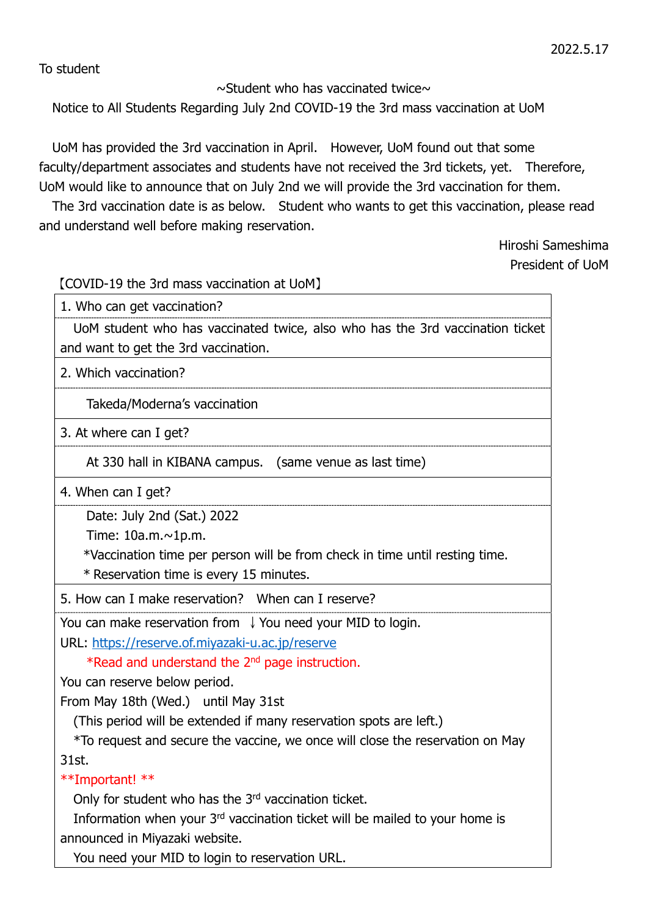To student

 $\sim$ Student who has vaccinated twice $\sim$ 

Notice to All Students Regarding July 2nd COVID-19 the 3rd mass vaccination at UoM

UoM has provided the 3rd vaccination in April. However, UoM found out that some faculty/department associates and students have not received the 3rd tickets, yet. Therefore, UoM would like to announce that on July 2nd we will provide the 3rd vaccination for them.

The 3rd vaccination date is as below. Student who wants to get this vaccination, please read and understand well before making reservation.

> Hiroshi Sameshima President of UoM

【COVID-19 the 3rd mass vaccination at UoM】

1. Who can get vaccination?

UoM student who has vaccinated twice, also who has the 3rd vaccination ticket and want to get the 3rd vaccination.

2. Which vaccination?

Takeda/Moderna's vaccination

3. At where can I get?

At 330 hall in KIBANA campus. (same venue as last time)

4. When can I get?

Date: July 2nd (Sat.) 2022

Time: 10a.m.~1p.m.

\*Vaccination time per person will be from check in time until resting time.

\* Reservation time is every 15 minutes.

5. How can I make reservation? When can I reserve?

You can make reservation from ↓You need your MID to login.

URL: https://reserve.of.miyazaki-u.ac.jp/reserve

\*Read and understand the 2nd page instruction.

You can reserve below period.

From May 18th (Wed.) until May 31st

(This period will be extended if many reservation spots are left.)

 \*To request and secure the vaccine, we once will close the reservation on May 31st.

\*\*Important! \*\*

Only for student who has the 3<sup>rd</sup> vaccination ticket.

Information when your 3<sup>rd</sup> vaccination ticket will be mailed to your home is announced in Miyazaki website.

You need your MID to login to reservation URL.